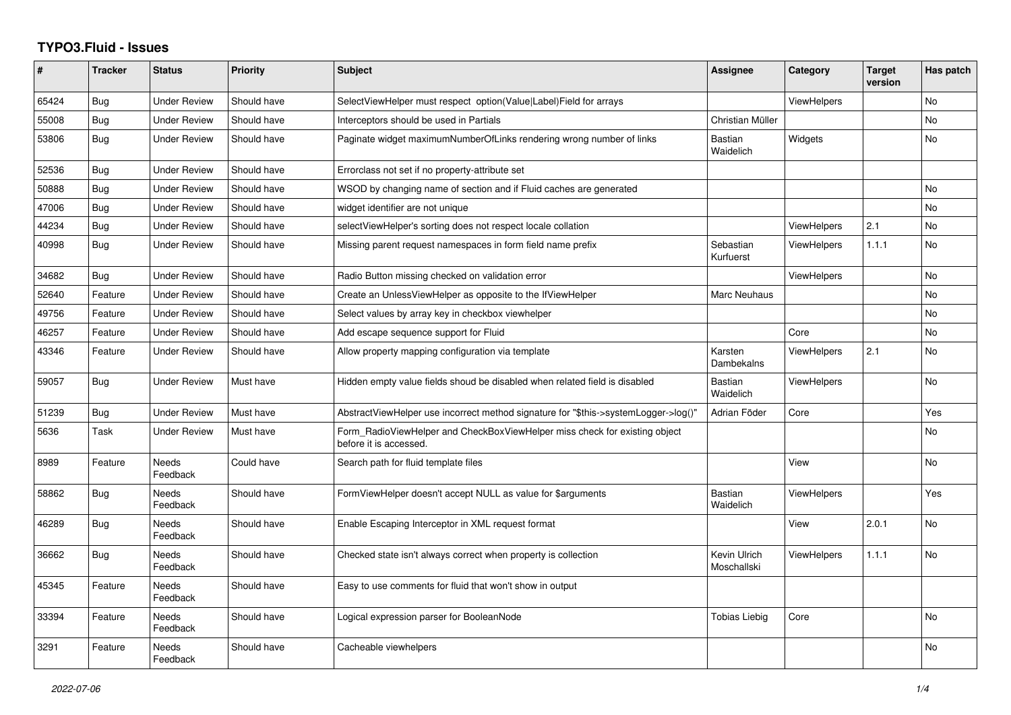## **TYPO3.Fluid - Issues**

| #     | <b>Tracker</b> | <b>Status</b>            | <b>Priority</b> | <b>Subject</b>                                                                                       | Assignee                    | Category           | <b>Target</b><br>version | Has patch      |
|-------|----------------|--------------------------|-----------------|------------------------------------------------------------------------------------------------------|-----------------------------|--------------------|--------------------------|----------------|
| 65424 | <b>Bug</b>     | <b>Under Review</b>      | Should have     | SelectViewHelper must respect option(Value Label)Field for arrays                                    |                             | <b>ViewHelpers</b> |                          | No             |
| 55008 | <b>Bug</b>     | <b>Under Review</b>      | Should have     | Interceptors should be used in Partials                                                              | Christian Müller            |                    |                          | <b>No</b>      |
| 53806 | <b>Bug</b>     | <b>Under Review</b>      | Should have     | Paginate widget maximumNumberOfLinks rendering wrong number of links                                 | Bastian<br>Waidelich        | Widgets            |                          | <b>No</b>      |
| 52536 | Bug            | Under Review             | Should have     | Errorclass not set if no property-attribute set                                                      |                             |                    |                          |                |
| 50888 | Bug            | <b>Under Review</b>      | Should have     | WSOD by changing name of section and if Fluid caches are generated                                   |                             |                    |                          | <b>No</b>      |
| 47006 | <b>Bug</b>     | Under Review             | Should have     | widget identifier are not unique                                                                     |                             |                    |                          | <b>No</b>      |
| 44234 | Bug            | Under Review             | Should have     | selectViewHelper's sorting does not respect locale collation                                         |                             | <b>ViewHelpers</b> | 2.1                      | No             |
| 40998 | Bug            | <b>Under Review</b>      | Should have     | Missing parent request namespaces in form field name prefix                                          | Sebastian<br>Kurfuerst      | <b>ViewHelpers</b> | 1.1.1                    | <b>No</b>      |
| 34682 | Bug            | <b>Under Review</b>      | Should have     | Radio Button missing checked on validation error                                                     |                             | <b>ViewHelpers</b> |                          | <b>No</b>      |
| 52640 | Feature        | <b>Under Review</b>      | Should have     | Create an UnlessViewHelper as opposite to the IfViewHelper                                           | Marc Neuhaus                |                    |                          | <b>No</b>      |
| 49756 | Feature        | <b>Under Review</b>      | Should have     | Select values by array key in checkbox viewhelper                                                    |                             |                    |                          | <b>No</b>      |
| 46257 | Feature        | <b>Under Review</b>      | Should have     | Add escape sequence support for Fluid                                                                |                             | Core               |                          | No             |
| 43346 | Feature        | <b>Under Review</b>      | Should have     | Allow property mapping configuration via template                                                    | Karsten<br>Dambekalns       | <b>ViewHelpers</b> | 2.1                      | <b>No</b>      |
| 59057 | Bug            | <b>Under Review</b>      | Must have       | Hidden empty value fields shoud be disabled when related field is disabled                           | <b>Bastian</b><br>Waidelich | <b>ViewHelpers</b> |                          | <b>No</b>      |
| 51239 | Bug            | <b>Under Review</b>      | Must have       | AbstractViewHelper use incorrect method signature for "\$this->systemLogger->log()"                  | Adrian Föder                | Core               |                          | Yes            |
| 5636  | Task           | <b>Under Review</b>      | Must have       | Form RadioViewHelper and CheckBoxViewHelper miss check for existing object<br>before it is accessed. |                             |                    |                          | <b>No</b>      |
| 8989  | Feature        | <b>Needs</b><br>Feedback | Could have      | Search path for fluid template files                                                                 |                             | View               |                          | <b>No</b>      |
| 58862 | Bug            | Needs<br>Feedback        | Should have     | FormViewHelper doesn't accept NULL as value for \$arguments                                          | <b>Bastian</b><br>Waidelich | <b>ViewHelpers</b> |                          | Yes            |
| 46289 | Bug            | Needs<br>Feedback        | Should have     | Enable Escaping Interceptor in XML request format                                                    |                             | View               | 2.0.1                    | <b>No</b>      |
| 36662 | Bug            | Needs<br>Feedback        | Should have     | Checked state isn't always correct when property is collection                                       | Kevin Ulrich<br>Moschallski | <b>ViewHelpers</b> | 1.1.1                    | N <sub>o</sub> |
| 45345 | Feature        | Needs<br>Feedback        | Should have     | Easy to use comments for fluid that won't show in output                                             |                             |                    |                          |                |
| 33394 | Feature        | <b>Needs</b><br>Feedback | Should have     | Logical expression parser for BooleanNode                                                            | <b>Tobias Liebig</b>        | Core               |                          | <b>No</b>      |
| 3291  | Feature        | <b>Needs</b><br>Feedback | Should have     | Cacheable viewhelpers                                                                                |                             |                    |                          | N <sub>o</sub> |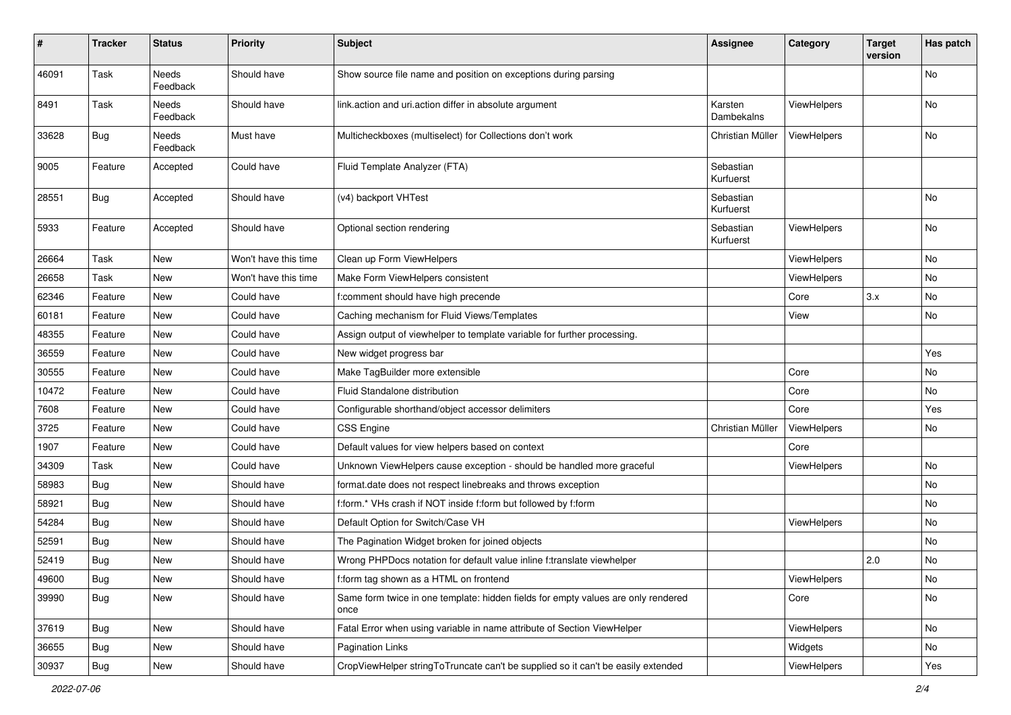| $\vert$ # | <b>Tracker</b> | <b>Status</b>     | <b>Priority</b>      | <b>Subject</b>                                                                            | <b>Assignee</b>        | Category    | <b>Target</b><br>version | Has patch |
|-----------|----------------|-------------------|----------------------|-------------------------------------------------------------------------------------------|------------------------|-------------|--------------------------|-----------|
| 46091     | Task           | Needs<br>Feedback | Should have          | Show source file name and position on exceptions during parsing                           |                        |             |                          | No        |
| 8491      | Task           | Needs<br>Feedback | Should have          | link.action and uri.action differ in absolute argument                                    | Karsten<br>Dambekalns  | ViewHelpers |                          | No        |
| 33628     | <b>Bug</b>     | Needs<br>Feedback | Must have            | Multicheckboxes (multiselect) for Collections don't work                                  | Christian Müller       | ViewHelpers |                          | No.       |
| 9005      | Feature        | Accepted          | Could have           | Fluid Template Analyzer (FTA)                                                             | Sebastian<br>Kurfuerst |             |                          |           |
| 28551     | <b>Bug</b>     | Accepted          | Should have          | (v4) backport VHTest                                                                      | Sebastian<br>Kurfuerst |             |                          | No        |
| 5933      | Feature        | Accepted          | Should have          | Optional section rendering                                                                | Sebastian<br>Kurfuerst | ViewHelpers |                          | <b>No</b> |
| 26664     | Task           | New               | Won't have this time | Clean up Form ViewHelpers                                                                 |                        | ViewHelpers |                          | No        |
| 26658     | Task           | New               | Won't have this time | Make Form ViewHelpers consistent                                                          |                        | ViewHelpers |                          | No        |
| 62346     | Feature        | New               | Could have           | f:comment should have high precende                                                       |                        | Core        | 3.x                      | No        |
| 60181     | Feature        | New               | Could have           | Caching mechanism for Fluid Views/Templates                                               |                        | View        |                          | No        |
| 48355     | Feature        | New               | Could have           | Assign output of viewhelper to template variable for further processing.                  |                        |             |                          |           |
| 36559     | Feature        | New               | Could have           | New widget progress bar                                                                   |                        |             |                          | Yes       |
| 30555     | Feature        | New               | Could have           | Make TagBuilder more extensible                                                           |                        | Core        |                          | No        |
| 10472     | Feature        | New               | Could have           | Fluid Standalone distribution                                                             |                        | Core        |                          | <b>No</b> |
| 7608      | Feature        | New               | Could have           | Configurable shorthand/object accessor delimiters                                         |                        | Core        |                          | Yes       |
| 3725      | Feature        | New               | Could have           | <b>CSS Engine</b>                                                                         | Christian Müller       | ViewHelpers |                          | No        |
| 1907      | Feature        | New               | Could have           | Default values for view helpers based on context                                          |                        | Core        |                          |           |
| 34309     | Task           | New               | Could have           | Unknown ViewHelpers cause exception - should be handled more graceful                     |                        | ViewHelpers |                          | <b>No</b> |
| 58983     | Bug            | New               | Should have          | format.date does not respect linebreaks and throws exception                              |                        |             |                          | No        |
| 58921     | Bug            | New               | Should have          | f:form.* VHs crash if NOT inside f:form but followed by f:form                            |                        |             |                          | No        |
| 54284     | Bug            | New               | Should have          | Default Option for Switch/Case VH                                                         |                        | ViewHelpers |                          | No        |
| 52591     | Bug            | New               | Should have          | The Pagination Widget broken for joined objects                                           |                        |             |                          | No        |
| 52419     | Bug            | New               | Should have          | Wrong PHPDocs notation for default value inline f:translate viewhelper                    |                        |             | 2.0                      | No        |
| 49600     | <b>Bug</b>     | New               | Should have          | f:form tag shown as a HTML on frontend                                                    |                        | ViewHelpers |                          | No        |
| 39990     | Bug            | New               | Should have          | Same form twice in one template: hidden fields for empty values are only rendered<br>once |                        | Core        |                          | No        |
| 37619     | <b>Bug</b>     | New               | Should have          | Fatal Error when using variable in name attribute of Section ViewHelper                   |                        | ViewHelpers |                          | No        |
| 36655     | <b>Bug</b>     | New               | Should have          | <b>Pagination Links</b>                                                                   |                        | Widgets     |                          | No        |
| 30937     | Bug            | New               | Should have          | CropViewHelper stringToTruncate can't be supplied so it can't be easily extended          |                        | ViewHelpers |                          | Yes       |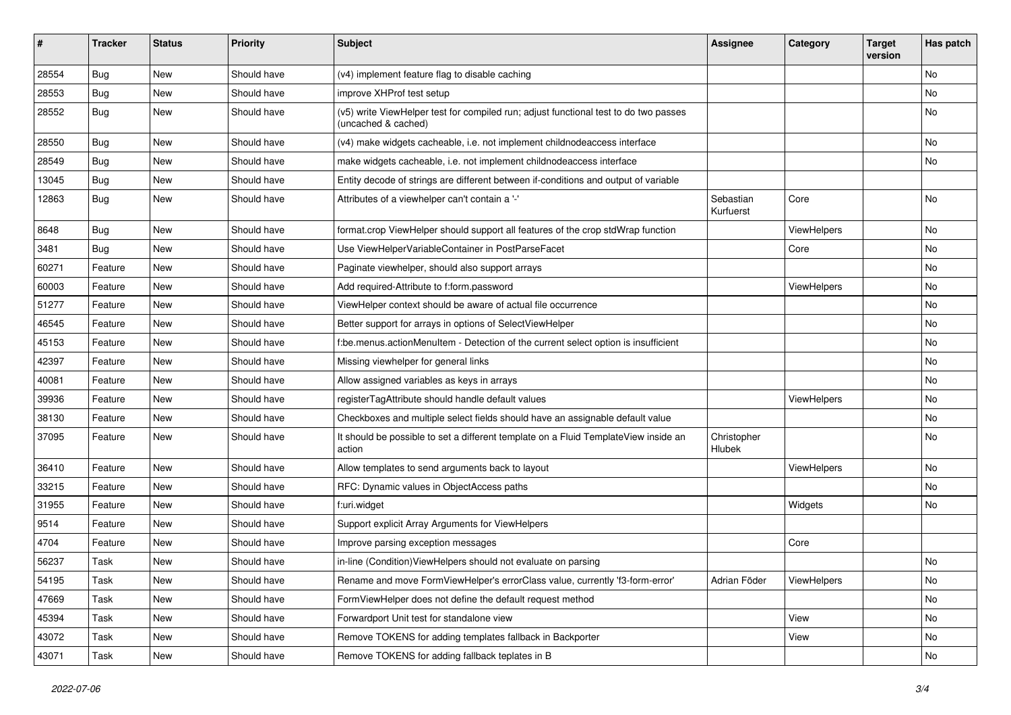| #     | <b>Tracker</b> | <b>Status</b> | <b>Priority</b> | Subject                                                                                                     | <b>Assignee</b>        | Category    | <b>Target</b><br>version | Has patch |
|-------|----------------|---------------|-----------------|-------------------------------------------------------------------------------------------------------------|------------------------|-------------|--------------------------|-----------|
| 28554 | Bug            | New           | Should have     | (v4) implement feature flag to disable caching                                                              |                        |             |                          | <b>No</b> |
| 28553 | Bug            | New           | Should have     | improve XHProf test setup                                                                                   |                        |             |                          | No        |
| 28552 | Bug            | New           | Should have     | (v5) write ViewHelper test for compiled run; adjust functional test to do two passes<br>(uncached & cached) |                        |             |                          | No        |
| 28550 | Bug            | New           | Should have     | (v4) make widgets cacheable, i.e. not implement childnodeaccess interface                                   |                        |             |                          | No        |
| 28549 | Bug            | New           | Should have     | make widgets cacheable, i.e. not implement childnodeaccess interface                                        |                        |             |                          | No        |
| 13045 | Bug            | New           | Should have     | Entity decode of strings are different between if-conditions and output of variable                         |                        |             |                          |           |
| 12863 | Bug            | New           | Should have     | Attributes of a viewhelper can't contain a '-'                                                              | Sebastian<br>Kurfuerst | Core        |                          | <b>No</b> |
| 8648  | Bug            | New           | Should have     | format.crop ViewHelper should support all features of the crop stdWrap function                             |                        | ViewHelpers |                          | No        |
| 3481  | Bug            | New           | Should have     | Use ViewHelperVariableContainer in PostParseFacet                                                           |                        | Core        |                          | No        |
| 60271 | Feature        | New           | Should have     | Paginate viewhelper, should also support arrays                                                             |                        |             |                          | No        |
| 60003 | Feature        | New           | Should have     | Add required-Attribute to f:form.password                                                                   |                        | ViewHelpers |                          | No        |
| 51277 | Feature        | New           | Should have     | ViewHelper context should be aware of actual file occurrence                                                |                        |             |                          | No        |
| 46545 | Feature        | New           | Should have     | Better support for arrays in options of SelectViewHelper                                                    |                        |             |                          | No        |
| 45153 | Feature        | New           | Should have     | f:be.menus.actionMenuItem - Detection of the current select option is insufficient                          |                        |             |                          | No        |
| 42397 | Feature        | New           | Should have     | Missing viewhelper for general links                                                                        |                        |             |                          | No        |
| 40081 | Feature        | New           | Should have     | Allow assigned variables as keys in arrays                                                                  |                        |             |                          | No        |
| 39936 | Feature        | New           | Should have     | registerTagAttribute should handle default values                                                           |                        | ViewHelpers |                          | No        |
| 38130 | Feature        | New           | Should have     | Checkboxes and multiple select fields should have an assignable default value                               |                        |             |                          | No        |
| 37095 | Feature        | New           | Should have     | It should be possible to set a different template on a Fluid TemplateView inside an<br>action               | Christopher<br>Hlubek  |             |                          | <b>No</b> |
| 36410 | Feature        | New           | Should have     | Allow templates to send arguments back to layout                                                            |                        | ViewHelpers |                          | No        |
| 33215 | Feature        | New           | Should have     | RFC: Dynamic values in ObjectAccess paths                                                                   |                        |             |                          | No        |
| 31955 | Feature        | New           | Should have     | f:uri.widget                                                                                                |                        | Widgets     |                          | <b>No</b> |
| 9514  | Feature        | New           | Should have     | Support explicit Array Arguments for ViewHelpers                                                            |                        |             |                          |           |
| 4704  | Feature        | New           | Should have     | Improve parsing exception messages                                                                          |                        | Core        |                          |           |
| 56237 | Task           | New           | Should have     | in-line (Condition) ViewHelpers should not evaluate on parsing                                              |                        |             |                          | No        |
| 54195 | Task           | New           | Should have     | Rename and move FormViewHelper's errorClass value, currently 'f3-form-error'                                | Adrian Föder           | ViewHelpers |                          | No        |
| 47669 | Task           | New           | Should have     | FormViewHelper does not define the default request method                                                   |                        |             |                          | No        |
| 45394 | Task           | New           | Should have     | Forwardport Unit test for standalone view                                                                   |                        | View        |                          | No        |
| 43072 | Task           | New           | Should have     | Remove TOKENS for adding templates fallback in Backporter                                                   |                        | View        |                          | No        |
| 43071 | Task           | New           | Should have     | Remove TOKENS for adding fallback teplates in B                                                             |                        |             |                          | No        |